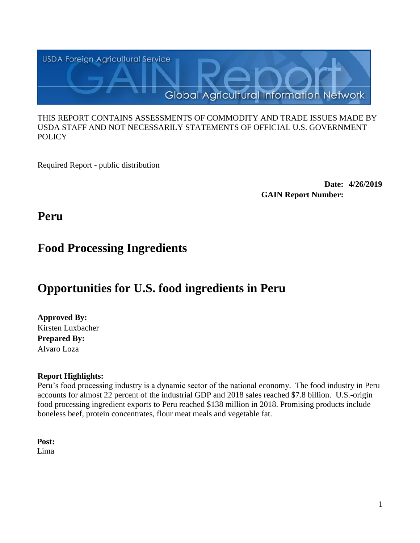

#### THIS REPORT CONTAINS ASSESSMENTS OF COMMODITY AND TRADE ISSUES MADE BY USDA STAFF AND NOT NECESSARILY STATEMENTS OF OFFICIAL U.S. GOVERNMENT **POLICY**

Required Report - public distribution

**Date: 4/26/2019 GAIN Report Number:**

**Peru**

# **Food Processing Ingredients**

# **Opportunities for U.S. food ingredients in Peru**

# **Approved By:**

Kirsten Luxbacher **Prepared By:** Alvaro Loza

# **Report Highlights:**

Peru's food processing industry is a dynamic sector of the national economy. The food industry in Peru accounts for almost 22 percent of the industrial GDP and 2018 sales reached \$7.8 billion. U.S.-origin food processing ingredient exports to Peru reached \$138 million in 2018. Promising products include boneless beef, protein concentrates, flour meat meals and vegetable fat.

**Post:** Lima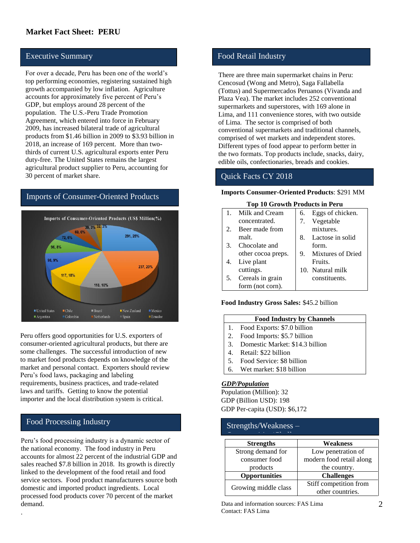## **Market Fact Sheet: PERU**

#### Executive Summary

For over a decade, Peru has been one of the world's top performing economies, registering sustained high growth accompanied by low inflation. Agriculture accounts for approximately five percent of Peru's GDP, but employs around 28 percent of the population. The U.S.-Peru Trade Promotion Agreement, which entered into force in February 2009, has increased bilateral trade of agricultural products from \$1.46 billion in 2009 to \$3.93 billion in 2018, an increase of 169 percent. More than twothirds of current U.S. agricultural exports enter Peru duty**-**free. The United States remains the largest agricultural product supplier to Peru, accounting for 30 percent of market share.

#### Imports of Consumer-Oriented Products



Peru offers good opportunities for U.S. exporters of consumer-oriented agricultural products, but there are some challenges. The successful introduction of new to market food products depends on knowledge of the market and personal contact. Exporters should review Peru's food laws, packaging and labeling requirements, business practices, and trade-related laws and tariffs. Getting to know the potential importer and the local distribution system is critical.

#### Food Processing Industry

.

Peru's food processing industry is a dynamic sector of the national economy. The food industry in Peru accounts for almost 22 percent of the industrial GDP and sales reached \$7.8 billion in 2018. Its growth is directly linked to the development of the food retail and food service sectors. Food product manufacturers source both domestic and imported product ingredients. Local processed food products cover 70 percent of the market demand.

#### Food Retail Industry

There are three main supermarket chains in Peru: Cencosud (Wong and Metro), Saga Fallabella (Tottus) and Supermercados Peruanos (Vivanda and Plaza Vea). The market includes 252 conventional supermarkets and superstores, with 169 alone in Lima, and 111 convenience stores, with two outside of Lima. The sector is comprised of both conventional supermarkets and traditional channels, comprised of wet markets and independent stores. Different types of food appear to perform better in the two formats. Top products include, snacks, dairy, edible oils, confectionaries, breads and cookies.

#### Quick Facts CY 2018

#### **Imports Consumer-Oriented Products**: \$291 MM

#### **Top 10 Growth Products in Peru**

|    | Milk and Cream     | 6. | Eggs of chicken.  |
|----|--------------------|----|-------------------|
|    | concentrated.      | 7. | Vegetable         |
| 2. | Beer made from     |    | mixtures.         |
|    | malt.              | 8. | Lactose in solid  |
| 3. | Chocolate and      |    | form.             |
|    | other cocoa preps. | 9. | Mixtures of Dried |
| 4. | Live plant         |    | Fruits.           |
|    | cuttings.          |    | 10. Natural milk  |
| 5. | Cereals in grain   |    | constituents.     |
|    | form (not corn).   |    |                   |

#### **Food Industry Gross Sales:** \$45.2 billion

| <b>Food Industry by Channels</b> |  |
|----------------------------------|--|
| Food Exports: \$7.0 billion      |  |

- 2. Food Imports: \$5.7 billion
- 3. Domestic Market: \$14.3 billion
- 4. Retail: \$22 billion
- 5. Food Service: \$8 billion
- 6. Wet market: \$18 billion

#### *GDP/Population*

Population (Million): 32 GDP (Billion USD): 198 GDP Per-capita (USD): \$6,172

#### Strengths/Weakness –

| <b>Strengths</b>     | Weakness                 |
|----------------------|--------------------------|
| Strong demand for    | Low penetration of       |
| consumer food        | modern food retail along |
| products             | the country.             |
| <b>Opportunities</b> | <b>Challenges</b>        |
|                      | Stiff competition from   |
| Growing middle class | other countries.         |

Data and information sources: FAS Lima Contact: FAS Lima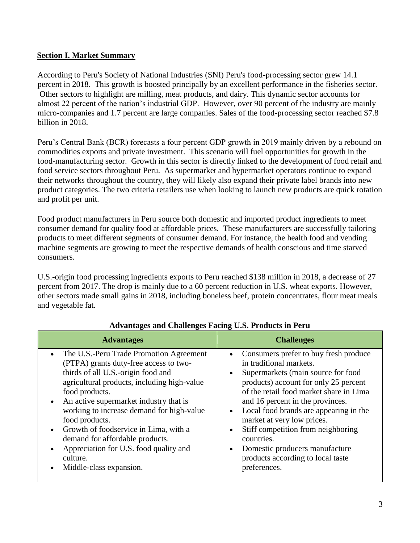## **Section I. Market Summary**

According to Peru's Society of National Industries (SNI) Peru's food-processing sector grew 14.1 percent in 2018. This growth is boosted principally by an excellent performance in the fisheries sector. Other sectors to highlight are milling, meat products, and dairy. This dynamic sector accounts for almost 22 percent of the nation's industrial GDP. However, over 90 percent of the industry are mainly micro-companies and 1.7 percent are large companies. Sales of the food-processing sector reached \$7.8 billion in 2018.

Peru's Central Bank (BCR) forecasts a four percent GDP growth in 2019 mainly driven by a rebound on commodities exports and private investment. This scenario will fuel opportunities for growth in the food-manufacturing sector. Growth in this sector is directly linked to the development of food retail and food service sectors throughout Peru. As supermarket and hypermarket operators continue to expand their networks throughout the country, they will likely also expand their private label brands into new product categories. The two criteria retailers use when looking to launch new products are quick rotation and profit per unit.

Food product manufacturers in Peru source both domestic and imported product ingredients to meet consumer demand for quality food at affordable prices. These manufacturers are successfully tailoring products to meet different segments of consumer demand. For instance, the health food and vending machine segments are growing to meet the respective demands of health conscious and time starved consumers.

U.S.-origin food processing ingredients exports to Peru reached \$138 million in 2018, a decrease of 27 percent from 2017. The drop is mainly due to a 60 percent reduction in U.S. wheat exports. However, other sectors made small gains in 2018, including boneless beef, protein concentrates, flour meat meals and vegetable fat.

| <b>Advantages</b>                                                                                                                                                                                                                                                                                                                                                                                                                                                  | <b>Challenges</b>                                                                                                                                                                                                                                                                                                                                                                                                                                                                                     |
|--------------------------------------------------------------------------------------------------------------------------------------------------------------------------------------------------------------------------------------------------------------------------------------------------------------------------------------------------------------------------------------------------------------------------------------------------------------------|-------------------------------------------------------------------------------------------------------------------------------------------------------------------------------------------------------------------------------------------------------------------------------------------------------------------------------------------------------------------------------------------------------------------------------------------------------------------------------------------------------|
| The U.S.-Peru Trade Promotion Agreement<br>(PTPA) grants duty-free access to two-<br>thirds of all U.S.-origin food and<br>agricultural products, including high-value<br>food products.<br>• An active supermarket industry that is<br>working to increase demand for high-value<br>food products.<br>• Growth of foodservice in Lima, with a<br>demand for affordable products.<br>Appreciation for U.S. food quality and<br>culture.<br>Middle-class expansion. | Consumers prefer to buy fresh produce<br>in traditional markets.<br>Supermarkets (main source for food<br>$\bullet$<br>products) account for only 25 percent<br>of the retail food market share in Lima<br>and 16 percent in the provinces.<br>Local food brands are appearing in the<br>$\bullet$<br>market at very low prices.<br>Stiff competition from neighboring<br>$\bullet$<br>countries.<br>Domestic producers manufacture<br>$\bullet$<br>products according to local taste<br>preferences. |

## **Advantages and Challenges Facing U.S. Products in Peru**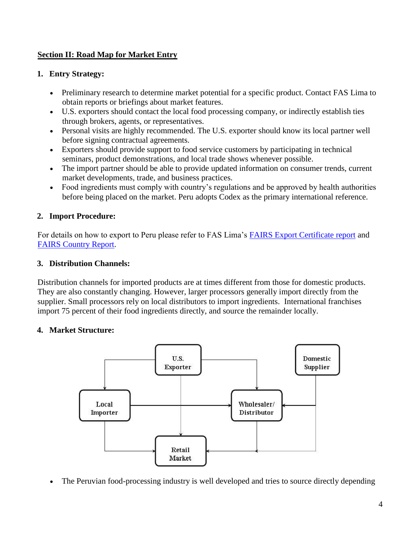# **Section II: Road Map for Market Entry**

# **1. Entry Strategy:**

- Preliminary research to determine market potential for a specific product. Contact FAS Lima to obtain reports or briefings about market features.
- U.S. exporters should contact the local food processing company, or indirectly establish ties through brokers, agents, or representatives.
- Personal visits are highly recommended. The U.S. exporter should know its local partner well before signing contractual agreements.
- Exporters should provide support to food service customers by participating in technical seminars, product demonstrations, and local trade shows whenever possible.
- The import partner should be able to provide updated information on consumer trends, current market developments, trade, and business practices.
- Food ingredients must comply with country's regulations and be approved by health authorities before being placed on the market. Peru adopts Codex as the primary international reference.

# **2. Import Procedure:**

For details on how to export to Peru please refer to FAS Lima's [FAIRS Export Certificate report](http://gain.fas.usda.gov/Recent%20GAIN%20Publications/Food%20and%20Agricultural%20Import%20Regulations%20and%20Standards%20-%20Certification_Lima_Peru_12-7-2017.pdf) and [FAIRS Country Report.](http://gain.fas.usda.gov/Recent%20GAIN%20Publications/Food%20and%20Agricultural%20Import%20Regulations%20and%20Standards%20-%20Narrative_Lima_Peru_12-6-2017.pdf)

# **3. Distribution Channels:**

Distribution channels for imported products are at times different from those for domestic products. They are also constantly changing. However, larger processors generally import directly from the supplier. Small processors rely on local distributors to import ingredients. International franchises import 75 percent of their food ingredients directly, and source the remainder locally.

## **4. Market Structure:**



• The Peruvian food-processing industry is well developed and tries to source directly depending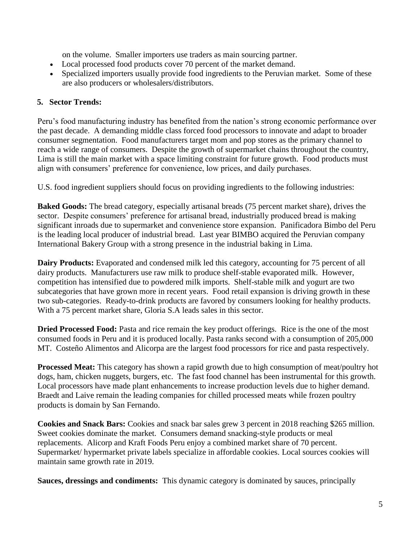on the volume. Smaller importers use traders as main sourcing partner.

- Local processed food products cover 70 percent of the market demand.
- Specialized importers usually provide food ingredients to the Peruvian market. Some of these are also producers or wholesalers/distributors.

### **5. Sector Trends:**

Peru's food manufacturing industry has benefited from the nation's strong economic performance over the past decade. A demanding middle class forced food processors to innovate and adapt to broader consumer segmentation. Food manufacturers target mom and pop stores as the primary channel to reach a wide range of consumers. Despite the growth of supermarket chains throughout the country, Lima is still the main market with a space limiting constraint for future growth. Food products must align with consumers' preference for convenience, low prices, and daily purchases.

U.S. food ingredient suppliers should focus on providing ingredients to the following industries:

**Baked Goods:** The bread category, especially artisanal breads (75 percent market share), drives the sector. Despite consumers' preference for artisanal bread, industrially produced bread is making significant inroads due to supermarket and convenience store expansion. Panificadora Bimbo del Peru is the leading local producer of industrial bread. Last year BIMBO acquired the Peruvian company International Bakery Group with a strong presence in the industrial baking in Lima.

**Dairy Products:** Evaporated and condensed milk led this category, accounting for 75 percent of all dairy products. Manufacturers use raw milk to produce shelf-stable evaporated milk. However, competition has intensified due to powdered milk imports. Shelf-stable milk and yogurt are two subcategories that have grown more in recent years. Food retail expansion is driving growth in these two sub-categories. Ready-to-drink products are favored by consumers looking for healthy products. With a 75 percent market share, Gloria S.A leads sales in this sector.

**Dried Processed Food:** Pasta and rice remain the key product offerings. Rice is the one of the most consumed foods in Peru and it is produced locally. Pasta ranks second with a consumption of 205,000 MT. Costeño Alimentos and Alicorpa are the largest food processors for rice and pasta respectively.

**Processed Meat:** This category has shown a rapid growth due to high consumption of meat/poultry hot dogs, ham, chicken nuggets, burgers, etc. The fast food channel has been instrumental for this growth. Local processors have made plant enhancements to increase production levels due to higher demand. Braedt and Laive remain the leading companies for chilled processed meats while frozen poultry products is domain by San Fernando.

**Cookies and Snack Bars:** Cookies and snack bar sales grew 3 percent in 2018 reaching \$265 million. Sweet cookies dominate the market. Consumers demand snacking-style products or meal replacements. Alicorp and Kraft Foods Peru enjoy a combined market share of 70 percent. Supermarket/ hypermarket private labels specialize in affordable cookies. Local sources cookies will maintain same growth rate in 2019.

**Sauces, dressings and condiments:** This dynamic category is dominated by sauces, principally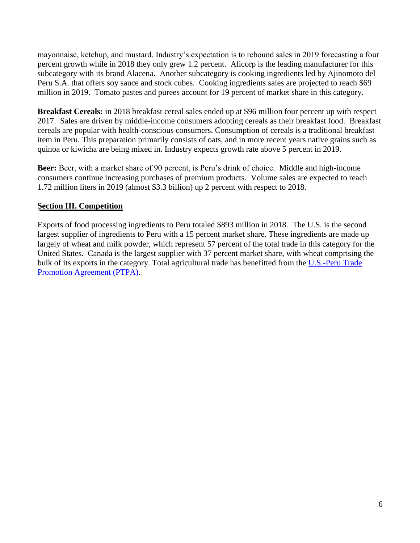mayonnaise, ketchup, and mustard. Industry's expectation is to rebound sales in 2019 forecasting a four percent growth while in 2018 they only grew 1.2 percent. Alicorp is the leading manufacturer for this subcategory with its brand Alacena. Another subcategory is cooking ingredients led by Ajinomoto del Peru S.A. that offers soy sauce and stock cubes. Cooking ingredients sales are projected to reach \$69 million in 2019. Tomato pastes and purees account for 19 percent of market share in this category.

**Breakfast Cereals:** in 2018 breakfast cereal sales ended up at \$96 million four percent up with respect 2017. Sales are driven by middle-income consumers adopting cereals as their breakfast food. Breakfast cereals are popular with health-conscious consumers. Consumption of cereals is a traditional breakfast item in Peru. This preparation primarily consists of oats, and in more recent years native grains such as quinoa or kiwicha are being mixed in. Industry expects growth rate above 5 percent in 2019.

**Beer:** Beer, with a market share of 90 percent, is Peru's drink of choice. Middle and high-income consumers continue increasing purchases of premium products. Volume sales are expected to reach 1.72 million liters in 2019 (almost \$3.3 billion) up 2 percent with respect to 2018.

# **Section III. Competition**

Exports of food processing ingredients to Peru totaled \$893 million in 2018. The U.S. is the second largest supplier of ingredients to Peru with a 15 percent market share. These ingredients are made up largely of wheat and milk powder, which represent 57 percent of the total trade in this category for the United States. Canada is the largest supplier with 37 percent market share, with wheat comprising the bulk of its exports in the category. Total agricultural trade has benefitted from the [U.S.-Peru Trade](http://gain.fas.usda.gov/Recent%20GAIN%20Publications/The%20U.S.-Peru%20TPA%20Five%20Years%20of%20Spectacular%20Growth_Lima_Peru_2-10-2014.pdf)  [Promotion Agreement \(PTPA\).](http://gain.fas.usda.gov/Recent%20GAIN%20Publications/The%20U.S.-Peru%20TPA%20Five%20Years%20of%20Spectacular%20Growth_Lima_Peru_2-10-2014.pdf)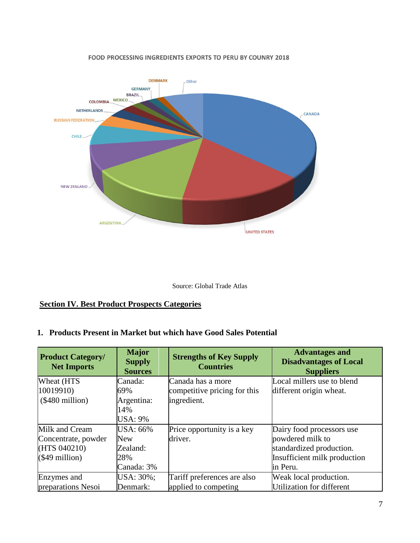

#### FOOD PROCESSING INGREDIENTS EXPORTS TO PERU BY COUNRY 2018



### **Section IV. Best Product Prospects Categories**

#### **1. Products Present in Market but which have Good Sales Potential**

| <b>Product Category/</b><br><b>Net Imports</b> | <b>Major</b><br><b>Supply</b><br><b>Sources</b> | <b>Strengths of Key Supply</b><br><b>Countries</b> | <b>Advantages and</b><br><b>Disadvantages of Local</b><br><b>Suppliers</b> |
|------------------------------------------------|-------------------------------------------------|----------------------------------------------------|----------------------------------------------------------------------------|
| Wheat (HTS                                     | Canada:                                         | Canada has a more                                  | Local millers use to blend                                                 |
| 10019910)                                      | 69%                                             | competitive pricing for this                       | different origin wheat.                                                    |
| $(\$480$ million)                              | Argentina:                                      | ingredient.                                        |                                                                            |
|                                                | 14%                                             |                                                    |                                                                            |
|                                                | <b>USA: 9%</b>                                  |                                                    |                                                                            |
| Milk and Cream                                 | USA: 66%                                        | Price opportunity is a key                         | Dairy food processors use                                                  |
| Concentrate, powder                            | <b>New</b>                                      | driver.                                            | powdered milk to                                                           |
| (HTS 040210)                                   | Zealand:                                        |                                                    | standardized production.                                                   |
| $(\$49$ million)                               | 28%                                             |                                                    | Insufficient milk production                                               |
|                                                | Canada: 3%                                      |                                                    | in Peru.                                                                   |
| Enzymes and                                    | USA: 30%;                                       | Tariff preferences are also                        | Weak local production.                                                     |
| preparations Nesoi                             | Denmark:                                        | applied to competing                               | Utilization for different                                                  |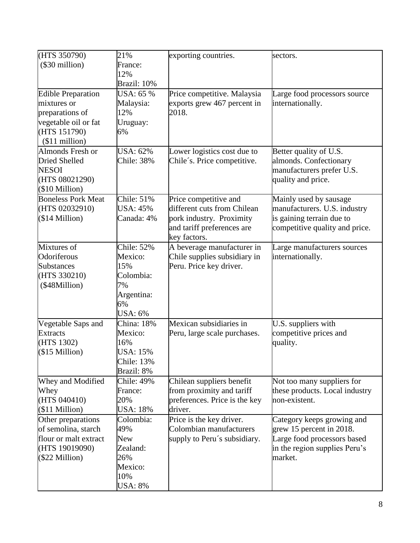| (HTS 350790)<br>$(\$30$ million)                                                                                       | 21%<br>France:<br>12%<br>Brazil: 10%                                                   | exporting countries.                                                                                                           | sectors.                                                                                                                          |
|------------------------------------------------------------------------------------------------------------------------|----------------------------------------------------------------------------------------|--------------------------------------------------------------------------------------------------------------------------------|-----------------------------------------------------------------------------------------------------------------------------------|
| <b>Edible Preparation</b><br>mixtures or<br>preparations of<br>vegetable oil or fat<br>(HTS 151790)<br>$($11$ million) | <b>USA</b> : 65 %<br>Malaysia:<br>12%<br>Uruguay:<br>6%                                | Price competitive. Malaysia<br>exports grew 467 percent in<br>2018.                                                            | Large food processors source<br>internationally.                                                                                  |
| Almonds Fresh or<br><b>Dried Shelled</b><br><b>NESOI</b><br>(HTS 08021290)<br>(\$10 Million)                           | <b>USA</b> : 62%<br>Chile: 38%                                                         | Lower logistics cost due to<br>Chile's. Price competitive.                                                                     | Better quality of U.S.<br>almonds. Confectionary<br>manufacturers prefer U.S.<br>quality and price.                               |
| <b>Boneless Pork Meat</b><br>(HTS 02032910)<br>$($14$ Million)                                                         | Chile: 51%<br>USA: 45%<br>Canada: 4%                                                   | Price competitive and<br>different cuts from Chilean<br>pork industry. Proximity<br>and tariff preferences are<br>key factors. | Mainly used by sausage<br>manufacturers. U.S. industry<br>is gaining terrain due to<br>competitive quality and price.             |
| Mixtures of<br>Odoriferous<br><b>Substances</b><br>(HTS 330210)<br>(\$48Million)                                       | Chile: 52%<br>Mexico:<br>15%<br>Colombia:<br>7%<br>Argentina:<br>6%<br><b>USA</b> : 6% | A beverage manufacturer in<br>Chile supplies subsidiary in<br>Peru. Price key driver.                                          | Large manufacturers sources<br>internationally.                                                                                   |
| Vegetable Saps and<br><b>Extracts</b><br>(HTS 1302)<br>$($15$ Million)                                                 | China: 18%<br>Mexico:<br>16%<br><b>USA: 15%</b><br>Chile: 13%<br>Brazil: 8%            | Mexican subsidiaries in<br>Peru, large scale purchases.                                                                        | U.S. suppliers with<br>competitive prices and<br>quality.                                                                         |
| Whey and Modified<br>Whey<br>(HTS 040410)<br>(\$11 Million)                                                            | Chile: 49%<br>France:<br>20%<br><b>USA: 18%</b>                                        | Chilean suppliers benefit<br>from proximity and tariff<br>preferences. Price is the key<br>driver.                             | Not too many suppliers for<br>these products. Local industry<br>non-existent.                                                     |
| Other preparations<br>of semolina, starch<br>flour or malt extract<br>(HTS 19019090)<br>$($22$ Million)                | Colombia:<br>49%<br><b>New</b><br>Zealand:<br>26%<br>Mexico:<br>10%<br><b>USA: 8%</b>  | Price is the key driver.<br>Colombian manufacturers<br>supply to Peru's subsidiary.                                            | Category keeps growing and<br>grew 15 percent in 2018.<br>Large food processors based<br>in the region supplies Peru's<br>market. |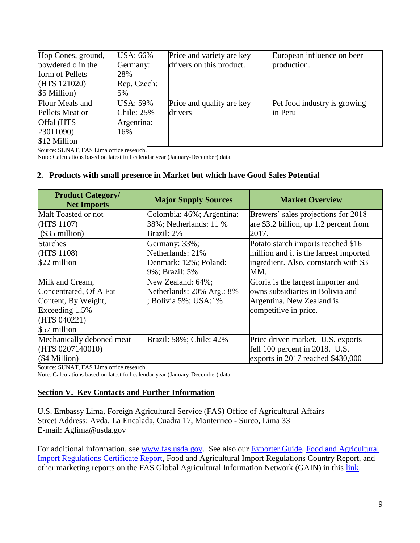| Hop Cones, ground, | USA: 66%        | Price and variety are key | European influence on beer   |
|--------------------|-----------------|---------------------------|------------------------------|
| powdered o in the  | Germany:        | drivers on this product.  | production.                  |
| form of Pellets    | 28%             |                           |                              |
| (HTS 121020)       | Rep. Czech:     |                           |                              |
| \$5 Million)       | 5%              |                           |                              |
| Flour Meals and    | <b>USA: 59%</b> | Price and quality are key | Pet food industry is growing |
| Pellets Meat or    | Chile: 25%      | drivers                   | in Peru                      |
| Offal (HTS         | Argentina:      |                           |                              |
| 23011090)          | 16%             |                           |                              |
| \$12 Million       |                 |                           |                              |

Source: SUNAT, FAS Lima office research.

Note: Calculations based on latest full calendar year (January-December) data.

#### **2. Products with small presence in Market but which have Good Sales Potential**

| <b>Product Category/</b><br><b>Net Imports</b> | <b>Major Supply Sources</b> | <b>Market Overview</b>                 |
|------------------------------------------------|-----------------------------|----------------------------------------|
| Malt Toasted or not                            | Colombia: 46%; Argentina:   | Brewers' sales projections for 2018    |
| (HTS 1107)                                     | 38%; Netherlands: 11 %      | are \$3.2 billion, up 1.2 percent from |
| $(\$35$ million)                               | Brazil: 2%                  | 2017.                                  |
| <b>Starches</b>                                | Germany: 33%;               | Potato starch imports reached \$16     |
| (HTS 1108)                                     | Netherlands: 21%            | million and it is the largest imported |
| \$22 million                                   | Denmark: 12%; Poland:       | ingredient. Also, cornstarch with \$3  |
|                                                | 9%; Brazil: 5%              | MM.                                    |
| Milk and Cream,                                | New Zealand: 64%;           | Gloria is the largest importer and     |
| Concentrated, Of A Fat                         | Netherlands: 20% Arg.: 8%   | owns subsidiaries in Bolivia and       |
| Content, By Weight,                            | ; Bolivia 5%; USA:1%        | Argentina. New Zealand is              |
| Exceeding 1.5%                                 |                             | competitive in price.                  |
| (HTS 040221)                                   |                             |                                        |
| \$57 million                                   |                             |                                        |
| Mechanically deboned meat                      | Brazil: 58%; Chile: 42%     | Price driven market. U.S. exports      |
| (HTS 0207140010)                               |                             | fell 100 percent in 2018. U.S.         |
| (\$4 Million)                                  |                             | exports in 2017 reached \$430,000      |

Source: SUNAT, FAS Lima office research.

Note: Calculations based on latest full calendar year (January-December) data.

## **Section V. Key Contacts and Further Information**

U.S. Embassy Lima, Foreign Agricultural Service (FAS) Office of Agricultural Affairs Street Address: Avda. La Encalada, Cuadra 17, Monterrico - Surco, Lima 33 E-mail: Aglima@usda.gov

For additional information, see [www.fas.usda.gov.](http://www.fas.usda.gov/) See also our [Exporter Guide,](https://gain.fas.usda.gov/Recent%20GAIN%20Publications/Exporter%20Guide_Lima_Peru_12-21-2018.pdf) [Food and Agricultural](http://gain.fas.usda.gov/Recent%20GAIN%20Publications/Food%20and%20Agricultural%20Import%20Regulations%20and%20Standards%20Report_Lima_Peru_12-17-2018.pdf)  [Import Regulations Certificate Report,](http://gain.fas.usda.gov/Recent%20GAIN%20Publications/Food%20and%20Agricultural%20Import%20Regulations%20and%20Standards%20Report_Lima_Peru_12-17-2018.pdf) Food and Agricultural Import Regulations Country Report, and other marketing reports on the FAS Global Agricultural Information Network (GAIN) in this [link.](http://gain.fas.usda.gov/Lists/Advanced%20Search/AllItems.aspx)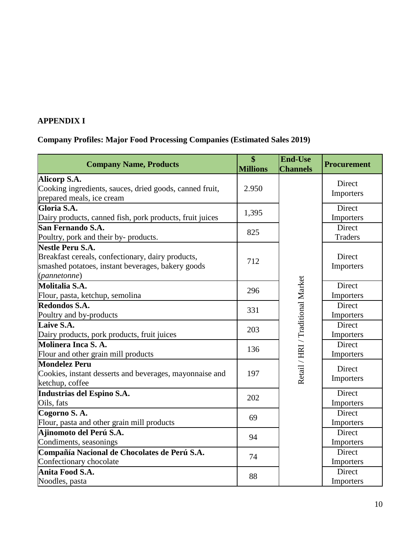# **APPENDIX I**

# **Company Profiles: Major Food Processing Companies (Estimated Sales 2019)**

| <b>Company Name, Products</b>                                                                                                                     | $\overline{\$}$<br><b>Millions</b> | <b>End-Use</b><br><b>Channels</b> | <b>Procurement</b>       |
|---------------------------------------------------------------------------------------------------------------------------------------------------|------------------------------------|-----------------------------------|--------------------------|
| Alicorp S.A.<br>Cooking ingredients, sauces, dried goods, canned fruit,                                                                           | 2.950                              |                                   | Direct                   |
| prepared meals, ice cream                                                                                                                         |                                    |                                   | Importers                |
| Gloria S.A.<br>Dairy products, canned fish, pork products, fruit juices                                                                           | 1,395                              |                                   | Direct<br>Importers      |
| San Fernando S.A.<br>Poultry, pork and their by- products.                                                                                        | 825                                |                                   | Direct<br><b>Traders</b> |
| <b>Nestle Peru S.A.</b><br>Breakfast cereals, confectionary, dairy products,<br>smashed potatoes, instant beverages, bakery goods<br>(pannetonne) | 712                                |                                   | Direct<br>Importers      |
| Molitalia S.A.<br>Flour, pasta, ketchup, semolina                                                                                                 | 296                                |                                   | Direct<br>Importers      |
| Redondos S.A.<br>Poultry and by-products                                                                                                          | 331                                |                                   | Direct<br>Importers      |
| Laive S.A.<br>Dairy products, pork products, fruit juices                                                                                         | 203                                |                                   | Direct<br>Importers      |
| Molinera Inca S.A.<br>Flour and other grain mill products                                                                                         | 136                                |                                   | Direct<br>Importers      |
| <b>Mondelez Peru</b><br>Cookies, instant desserts and beverages, mayonnaise and<br>ketchup, coffee                                                | 197                                | Retail / HRI / Traditional Market | Direct<br>Importers      |
| Industrias del Espino S.A.<br>Oils, fats                                                                                                          | 202                                |                                   | Direct<br>Importers      |
| Cogorno S.A.<br>Flour, pasta and other grain mill products                                                                                        | 69                                 |                                   | Direct<br>Importers      |
| Ajinomoto del Perú S.A.<br>Condiments, seasonings                                                                                                 | 94                                 |                                   | Direct<br>Importers      |
| Compañía Nacional de Chocolates de Perú S.A.<br>Confectionary chocolate                                                                           | 74                                 |                                   | Direct<br>Importers      |
| Anita Food S.A.<br>Noodles, pasta                                                                                                                 | 88                                 |                                   | Direct<br>Importers      |